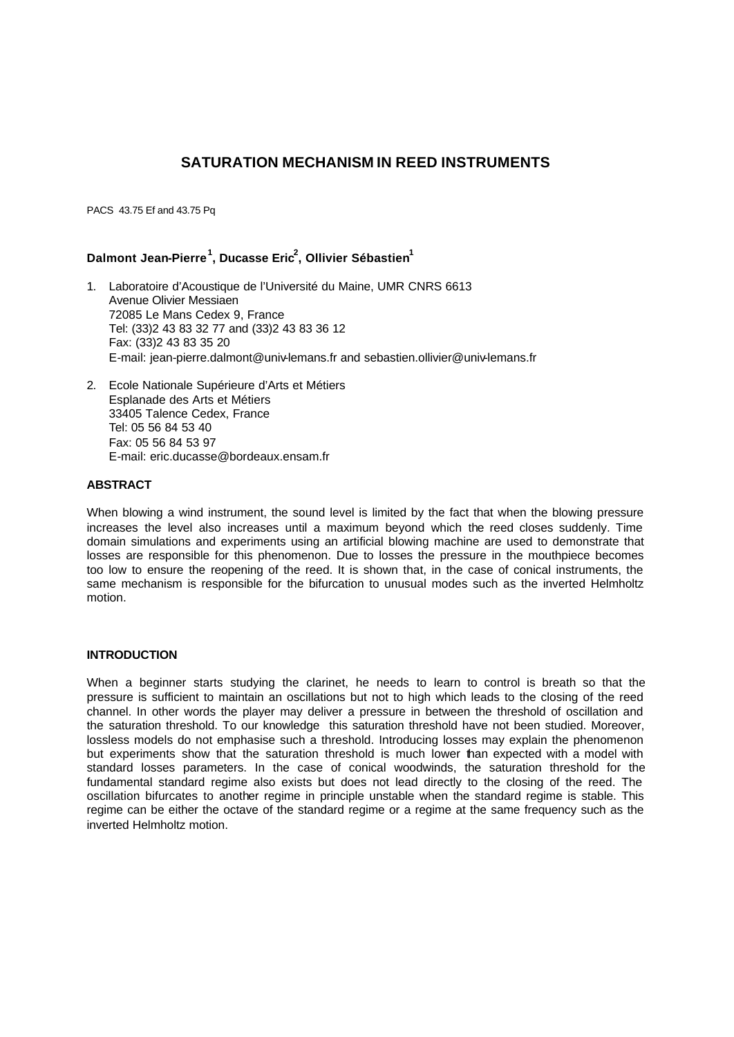# **SATURATION MECHANISM IN REED INSTRUMENTS**

PACS 43.75 Ef and 43.75 Pq

# **Dalmont Jean-Pierre<sup>1</sup> , Ducasse Eric<sup>2</sup> , Ollivier Sébastien<sup>1</sup>**

- 1. Laboratoire d'Acoustique de l'Université du Maine, UMR CNRS 6613 Avenue Olivier Messiaen 72085 Le Mans Cedex 9, France Tel: (33)2 43 83 32 77 and (33)2 43 83 36 12 Fax: (33)2 43 83 35 20 E-mail: jean-pierre.dalmont@univ-lemans.fr and sebastien.ollivier@univ-lemans.fr
- 2. Ecole Nationale Supérieure d'Arts et Métiers Esplanade des Arts et Métiers 33405 Talence Cedex, France Tel: 05 56 84 53 40 Fax: 05 56 84 53 97 E-mail: eric.ducasse@bordeaux.ensam.fr

# **ABSTRACT**

When blowing a wind instrument, the sound level is limited by the fact that when the blowing pressure increases the level also increases until a maximum beyond which the reed closes suddenly. Time domain simulations and experiments using an artificial blowing machine are used to demonstrate that losses are responsible for this phenomenon. Due to losses the pressure in the mouthpiece becomes too low to ensure the reopening of the reed. It is shown that, in the case of conical instruments, the same mechanism is responsible for the bifurcation to unusual modes such as the inverted Helmholtz motion.

## **INTRODUCTION**

When a beginner starts studying the clarinet, he needs to learn to control is breath so that the pressure is sufficient to maintain an oscillations but not to high which leads to the closing of the reed channel. In other words the player may deliver a pressure in between the threshold of oscillation and the saturation threshold. To our knowledge this saturation threshold have not been studied. Moreover, lossless models do not emphasise such a threshold. Introducing losses may explain the phenomenon but experiments show that the saturation threshold is much lower than expected with a model with standard losses parameters. In the case of conical woodwinds, the saturation threshold for the fundamental standard regime also exists but does not lead directly to the closing of the reed. The oscillation bifurcates to another regime in principle unstable when the standard regime is stable. This regime can be either the octave of the standard regime or a regime at the same frequency such as the inverted Helmholtz motion.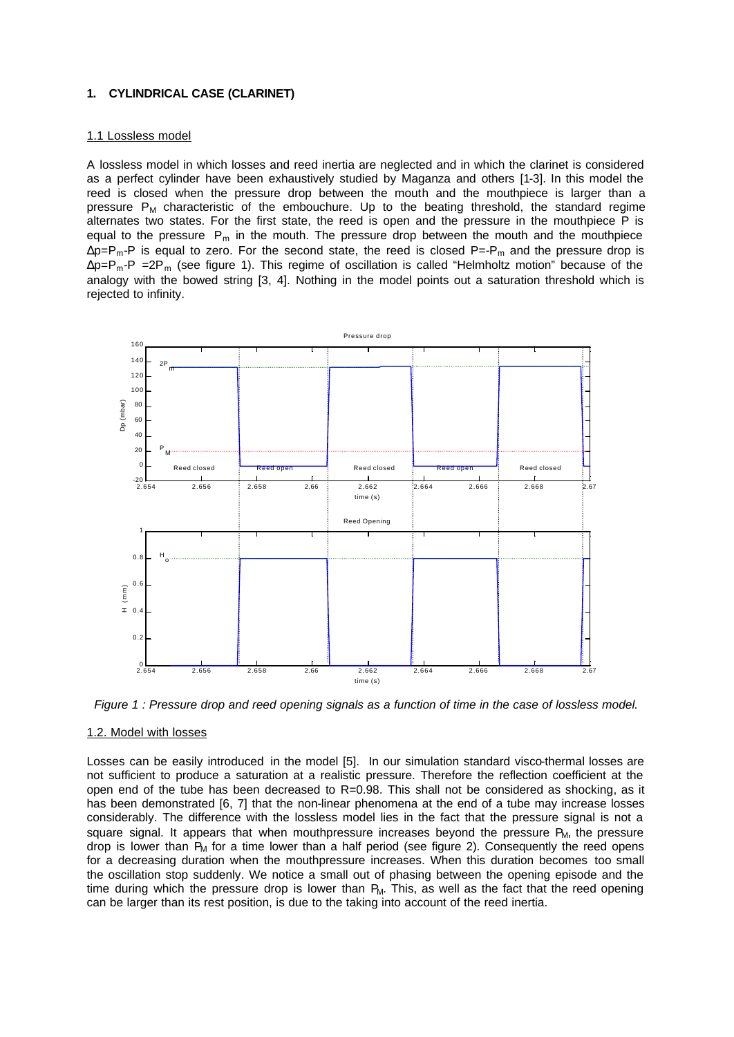## **1. CYLINDRICAL CASE (CLARINET)**

#### 1.1 Lossless model

A lossless model in which losses and reed inertia are neglected and in which the clarinet is considered as a perfect cylinder have been exhaustively studied by Maganza and others [1-3]. In this model the reed is closed when the pressure drop between the mouth and the mouthpiece is larger than a pressure  $P_M$  characteristic of the embouchure. Up to the beating threshold, the standard regime alternates two states. For the first state, the reed is open and the pressure in the mouthpiece P is equal to the pressure  $P_m$  in the mouth. The pressure drop between the mouth and the mouthpiece  $\Delta p = P_m - P$  is equal to zero. For the second state, the reed is closed P=-P<sub>m</sub> and the pressure drop is  $\Delta p = P_m - P = 2P_m$  (see figure 1). This regime of oscillation is called "Helmholtz motion" because of the analogy with the bowed string [3, 4]. Nothing in the model points out a saturation threshold which is rejected to infinity.



*Figure 1 : Pressure drop and reed opening signals as a function of time in the case of lossless model.*

#### 1.2. Model with losses

Losses can be easily introduced in the model [5]. In our simulation standard visco-thermal losses are not sufficient to produce a saturation at a realistic pressure. Therefore the reflection coefficient at the open end of the tube has been decreased to  $R=0.98$ . This shall not be considered as shocking, as it has been demonstrated [6, 7] that the non-linear phenomena at the end of a tube may increase losses considerably. The difference with the lossless model lies in the fact that the pressure signal is not a square signal. It appears that when mouthpressure increases beyond the pressure  $P_M$ , the pressure drop is lower than  $P_M$  for a time lower than a half period (see figure 2). Consequently the reed opens for a decreasing duration when the mouthpressure increases. When this duration becomes too small the oscillation stop suddenly. We notice a small out of phasing between the opening episode and the time during which the pressure drop is lower than  $P_M$ . This, as well as the fact that the reed opening can be larger than its rest position, is due to the taking into account of the reed inertia.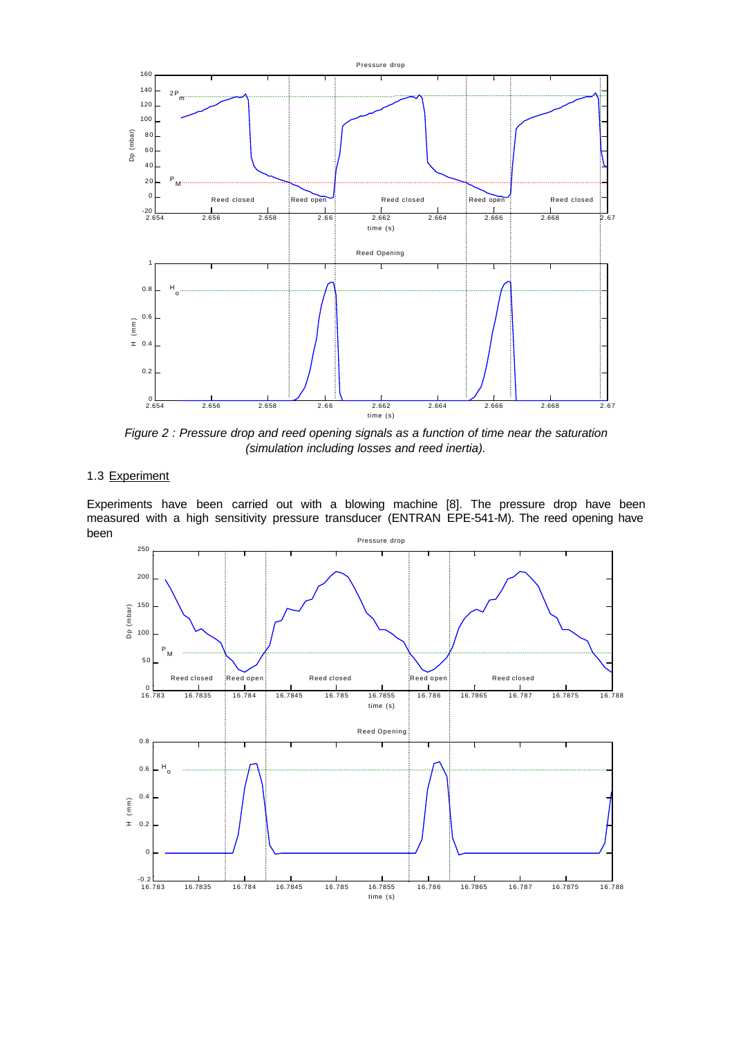

*Figure 2 : Pressure drop and reed opening signals as a function of time near the saturation (simulation including losses and reed inertia).*

# 1.3 Experiment

Pressure drop Experiments have been carried out with a blowing machine [8]. The pressure drop have been measured with a high sensitivity pressure transducer (ENTRAN EPE-541-M). The reed opening have been

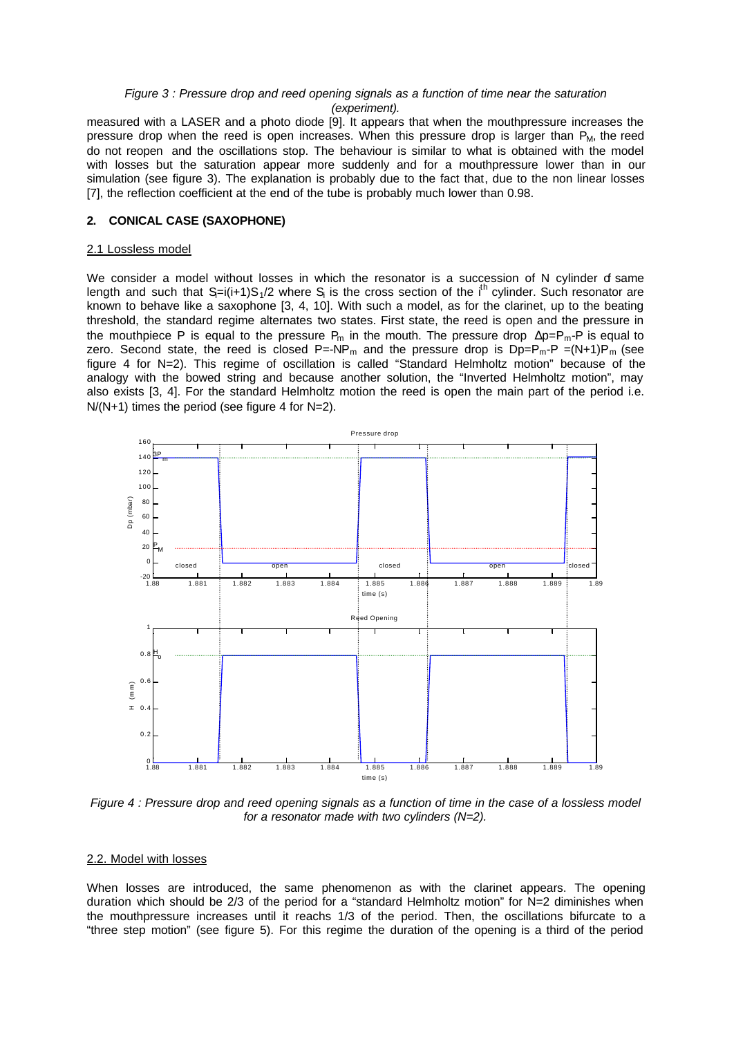#### *Figure 3 : Pressure drop and reed opening signals as a function of time near the saturation (experiment).*

measured with a LASER and a photo diode [9]. It appears that when the mouthpressure increases the pressure drop when the reed is open increases. When this pressure drop is larger than  $P_M$ , the reed do not reopen and the oscillations stop. The behaviour is similar to what is obtained with the model with losses but the saturation appear more suddenly and for a mouthpressure lower than in our simulation (see figure 3). The explanation is probably due to the fact that, due to the non linear losses [7], the reflection coefficient at the end of the tube is probably much lower than 0.98.

## **2. CONICAL CASE (SAXOPHONE)**

#### 2.1 Lossless model

We consider a model without losses in which the resonator is a succession of N cylinder of same length and such that  $S=i(i+1)S_1/2$  where  $S_i$  is the cross section of the i<sup>th</sup> cylinder. Such resonator are known to behave like a saxophone [3, 4, 10]. With such a model, as for the clarinet, up to the beating threshold, the standard regime alternates two states. First state, the reed is open and the pressure in the mouthpiece P is equal to the pressure  $P_m$  in the mouth. The pressure drop  $\Delta p = P_m - P$  is equal to zero. Second state, the reed is closed  $P = NP_m$  and the pressure drop is  $Dp = P_m - P = (N+1)P_m$  (see figure 4 for N=2). This regime of oscillation is called "Standard Helmholtz motion" because of the analogy with the bowed string and because another solution, the "Inverted Helmholtz motion", may also exists [3, 4]. For the standard Helmholtz motion the reed is open the main part of the period i.e.  $N/(N+1)$  times the period (see figure 4 for  $N=2$ ).



*Figure 4 : Pressure drop and reed opening signals as a function of time in the case of a lossless model for a resonator made with two cylinders (N=2).*

#### 2.2. Model with losses

When losses are introduced, the same phenomenon as with the clarinet appears. The opening duration which should be 2/3 of the period for a "standard Helmholtz motion" for N=2 diminishes when the mouthpressure increases until it reachs 1/3 of the period. Then, the oscillations bifurcate to a "three step motion" (see figure 5). For this regime the duration of the opening is a third of the period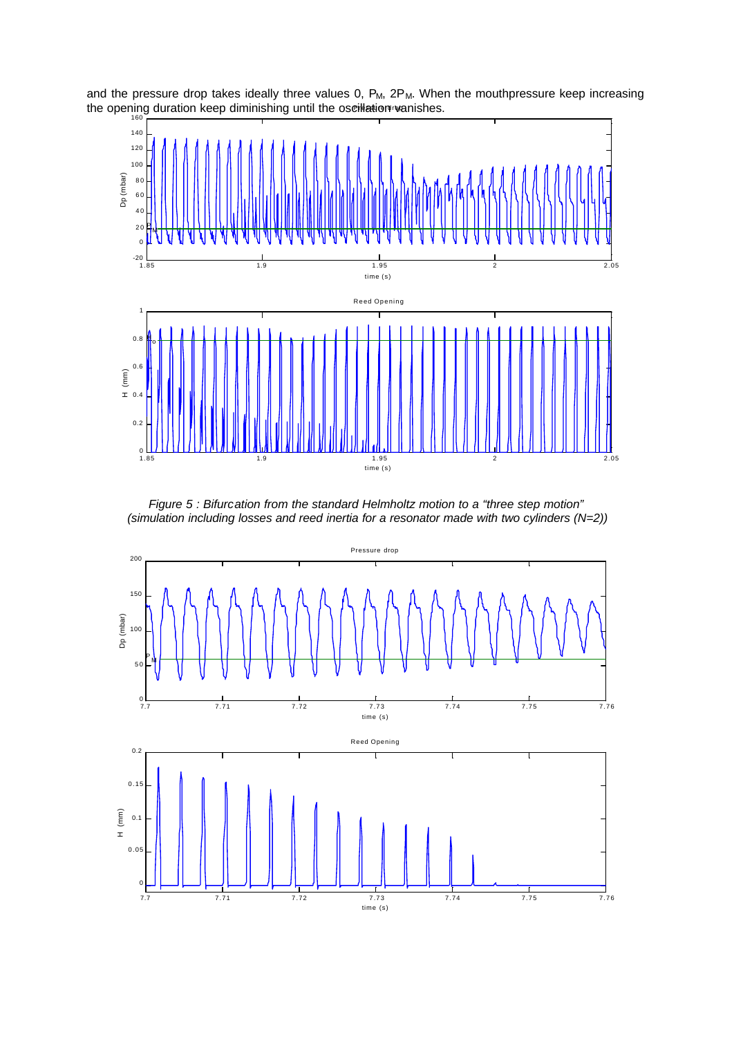the opening duration keep diminishing until the oscillation vanishes. and the pressure drop takes ideally three values 0,  $P_M$ ,  $2P_M$ . When the mouthpressure keep increasing



*Figure 5 : Bifurcation from the standard Helmholtz motion to a "three step motion" (simulation including losses and reed inertia for a resonator made with two cylinders (N=2))*